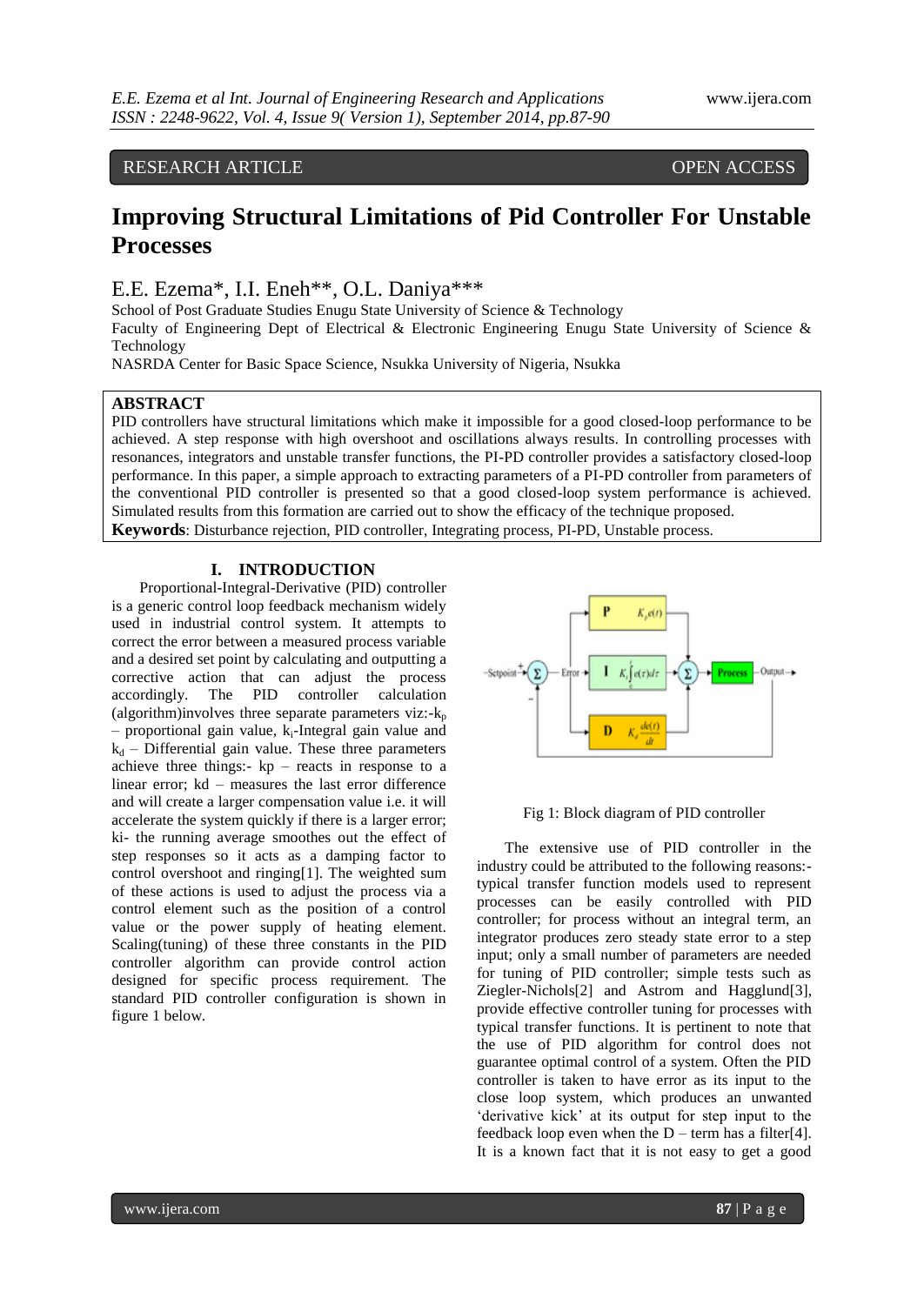# RESEARCH ARTICLE OPEN ACCESS

# **Improving Structural Limitations of Pid Controller For Unstable Processes**

E.E. Ezema\*, I.I. Eneh\*\*, O.L. Daniya\*\*\*

School of Post Graduate Studies Enugu State University of Science & Technology Faculty of Engineering Dept of Electrical & Electronic Engineering Enugu State University of Science & Technology

NASRDA Center for Basic Space Science, Nsukka University of Nigeria, Nsukka

# **ABSTRACT**

PID controllers have structural limitations which make it impossible for a good closed-loop performance to be achieved. A step response with high overshoot and oscillations always results. In controlling processes with resonances, integrators and unstable transfer functions, the PI-PD controller provides a satisfactory closed-loop performance. In this paper, a simple approach to extracting parameters of a PI-PD controller from parameters of the conventional PID controller is presented so that a good closed-loop system performance is achieved. Simulated results from this formation are carried out to show the efficacy of the technique proposed. **Keywords**: Disturbance rejection, PID controller, Integrating process, PI-PD, Unstable process.

#### **I. INTRODUCTION**

Proportional-Integral-Derivative (PID) controller is a generic control loop feedback mechanism widely used in industrial control system. It attempts to correct the error between a measured process variable and a desired set point by calculating and outputting a corrective action that can adjust the process accordingly. The PID controller calculation (algorithm)involves three separate parameters viz: $-k_p$  $-$  proportional gain value,  $k_i$ -Integral gain value and  $k_d$  – Differential gain value. These three parameters achieve three things:- kp – reacts in response to a linear error; kd – measures the last error difference and will create a larger compensation value i.e. it will accelerate the system quickly if there is a larger error; ki- the running average smoothes out the effect of step responses so it acts as a damping factor to control overshoot and ringing[1]. The weighted sum of these actions is used to adjust the process via a control element such as the position of a control value or the power supply of heating element. Scaling(tuning) of these three constants in the PID controller algorithm can provide control action designed for specific process requirement. The standard PID controller configuration is shown in figure 1 below.



#### Fig 1: Block diagram of PID controller

The extensive use of PID controller in the industry could be attributed to the following reasons: typical transfer function models used to represent processes can be easily controlled with PID controller; for process without an integral term, an integrator produces zero steady state error to a step input; only a small number of parameters are needed for tuning of PID controller; simple tests such as Ziegler-Nichols[2] and Astrom and Hagglund[3], provide effective controller tuning for processes with typical transfer functions. It is pertinent to note that the use of PID algorithm for control does not guarantee optimal control of a system. Often the PID controller is taken to have error as its input to the close loop system, which produces an unwanted 'derivative kick' at its output for step input to the feedback loop even when the  $D$  – term has a filter[4]. It is a known fact that it is not easy to get a good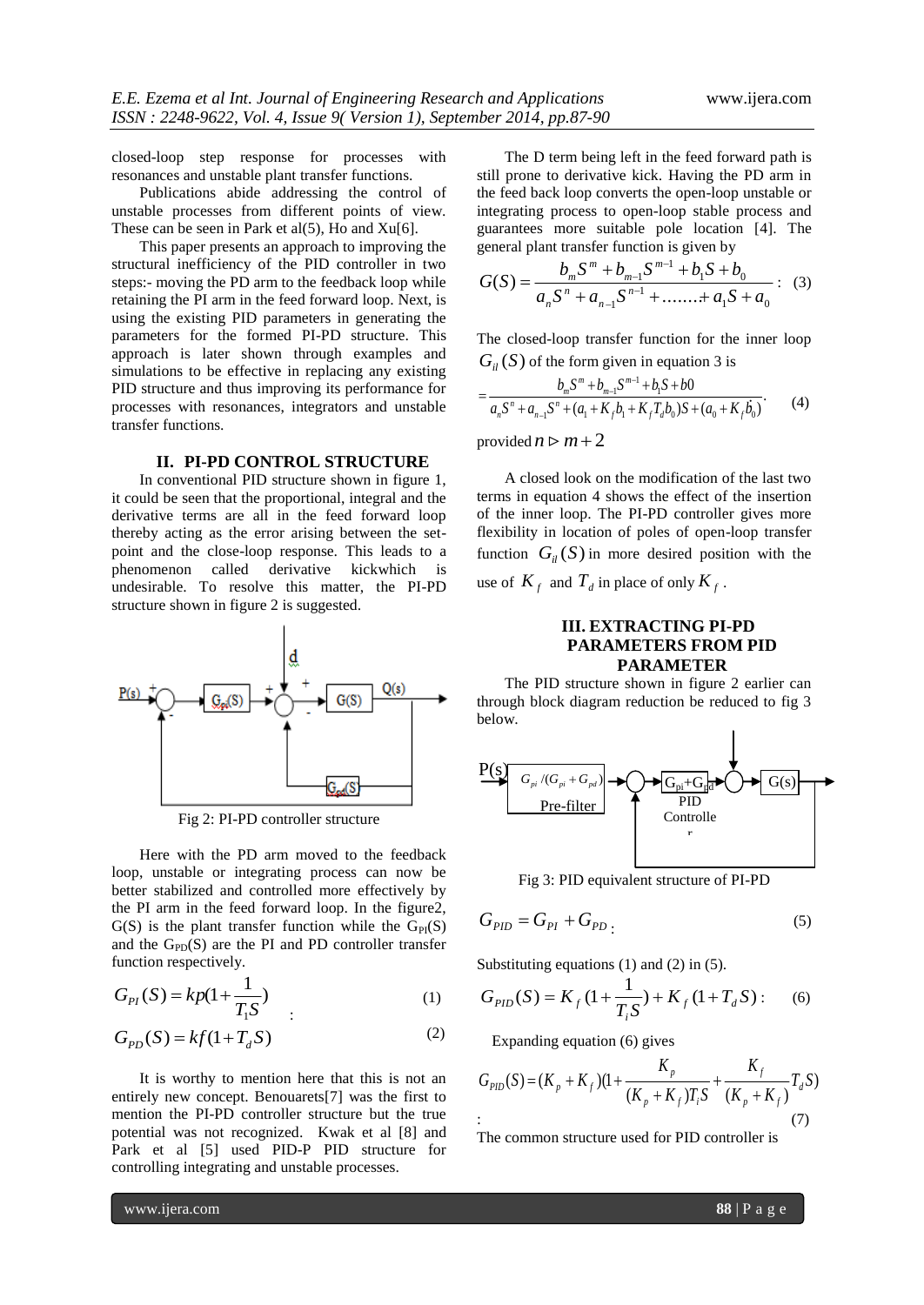closed-loop step response for processes with resonances and unstable plant transfer functions.

Publications abide addressing the control of unstable processes from different points of view. These can be seen in Park et al(5), Ho and Xu[6].

This paper presents an approach to improving the structural inefficiency of the PID controller in two steps:- moving the PD arm to the feedback loop while retaining the PI arm in the feed forward loop. Next, is using the existing PID parameters in generating the parameters for the formed PI-PD structure. This approach is later shown through examples and simulations to be effective in replacing any existing PID structure and thus improving its performance for processes with resonances, integrators and unstable transfer functions.

## **II. PI-PD CONTROL STRUCTURE**

In conventional PID structure shown in figure 1, it could be seen that the proportional, integral and the derivative terms are all in the feed forward loop thereby acting as the error arising between the setpoint and the close-loop response. This leads to a phenomenon called derivative kickwhich is undesirable. To resolve this matter, the PI-PD structure shown in figure 2 is suggested.



Fig 2: PI-PD controller structure

Here with the PD arm moved to the feedback loop, unstable or integrating process can now be better stabilized and controlled more effectively by the PI arm in the feed forward loop. In the figure2,  $G(S)$  is the plant transfer function while the  $G_{PI}(S)$ and the  $G<sub>PD</sub>(S)$  are the PI and PD controller transfer function respectively.

$$
G_{PI}(S) = kp(1 + \frac{1}{T_1S})
$$
 (1)

$$
G_{PD}(S) = kf(1 + T_d S) \tag{2}
$$

It is worthy to mention here that this is not an entirely new concept. Benouarets[7] was the first to mention the PI-PD controller structure but the true potential was not recognized. Kwak et al [8] and Park et al [5] used PID-P PID structure for controlling integrating and unstable processes.

The D term being left in the feed forward path is still prone to derivative kick. Having the PD arm in the feed back loop converts the open-loop unstable or integrating process to open-loop stable process and guarantees more suitable pole location [4]. The general plant transfer function is given by

$$
G(S) = \frac{b_m S^m + b_{m-1} S^{m-1} + b_1 S + b_0}{a_n S^n + a_{n-1} S^{n-1} + \dots + a_1 S + a_0} : (3)
$$

The closed-loop transfer function for the inner loop  $G_{il}(S)$  of the form given in equation 3 is

$$
= \frac{b_m S^m + b_{m-1} S^{m-1} + b_1 S + b0}{a_n S^n + a_{n-1} S^n + (a_1 + K_f b_1 + K_f T_d b_0) S + (a_0 + K_f b_0)}.
$$
 (4)

provided  $n \triangleright m+2$ 

A closed look on the modification of the last two terms in equation 4 shows the effect of the insertion of the inner loop. The PI-PD controller gives more flexibility in location of poles of open-loop transfer function  $G_i(S)$  in more desired position with the use of  $K_f$  and  $T_d$  in place of only  $K_f$ .

## **III. EXTRACTING PI-PD PARAMETERS FROM PID PARAMETER**

The PID structure shown in figure 2 earlier can through block diagram reduction be reduced to fig 3 below.



Fig 3: PID equivalent structure of PI-PD

$$
G_{PID} = G_{PI} + G_{PD} \tag{5}
$$

Substituting equations  $(1)$  and  $(2)$  in  $(5)$ .

$$
G_{PID}(S) = K_f \left(1 + \frac{1}{T_i S}\right) + K_f \left(1 + T_d S\right) : \quad (6)
$$

Expanding equation (6) gives

$$
G_{PID}(S) = (K_p + K_f)(1 + \frac{K_p}{(K_p + K_f)T_iS} + \frac{K_f}{(K_p + K_f)}T_dS)
$$
  
: (7)

The common structure used for PID controller is

www.ijera.com **88** | P a g e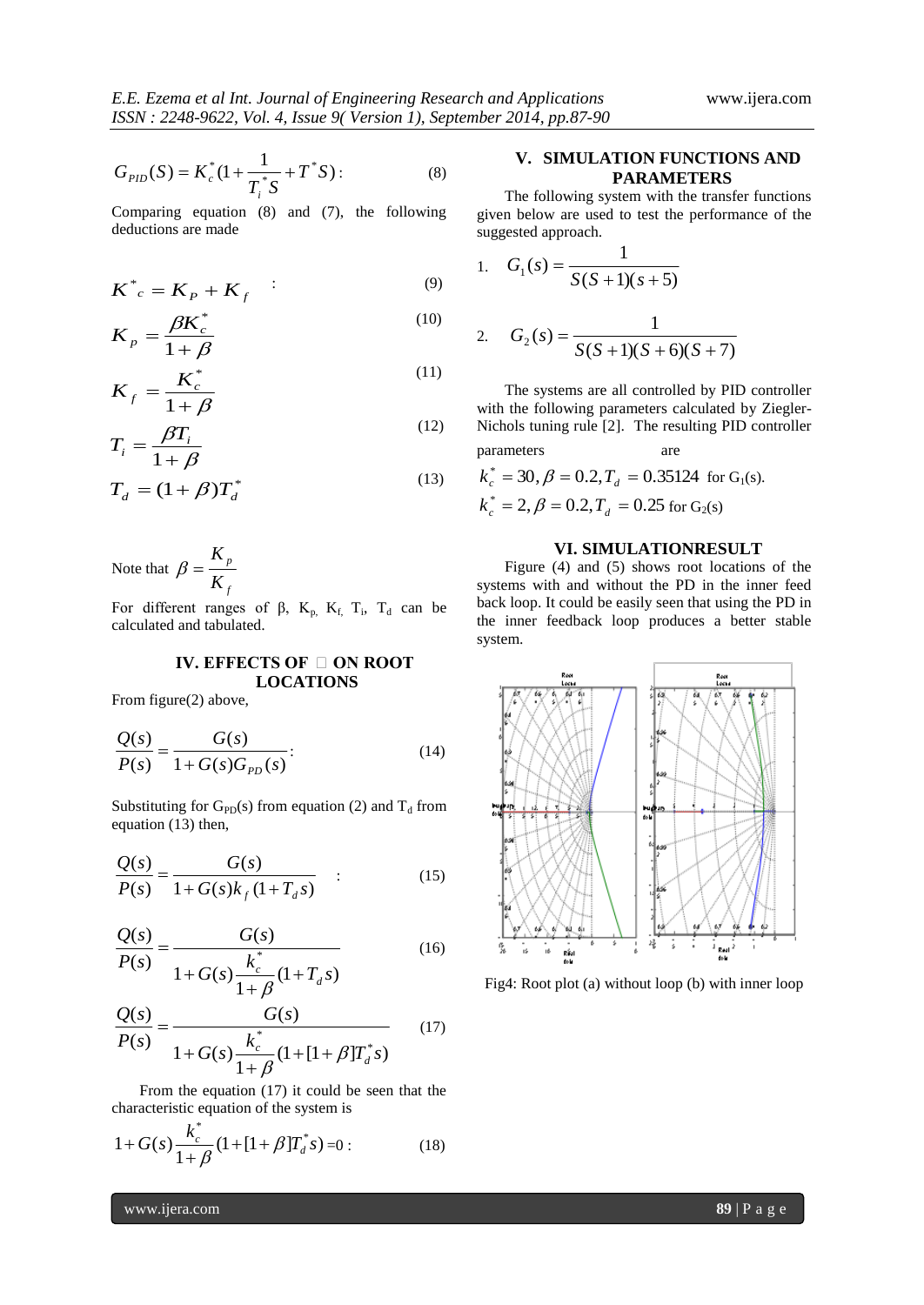$$
G_{PID}(S) = K_c^*(1 + \frac{1}{T_i^*S} + T^*S): \tag{8}
$$

Comparing equation (8) and (7), the following deductions are made

$$
K^*_{c} = K_p + K_f \qquad (9)
$$

$$
K_p = \frac{\beta K_c^*}{1 + \beta} \tag{10}
$$

$$
K_f = \frac{K_c^*}{1+\beta} \tag{11}
$$

$$
T_i = \frac{\beta T_i}{1 + \beta} \tag{12}
$$

$$
T_d = (1 + \beta)T_d^*
$$
\n(13)

Note that *f p K K*  $\beta =$ 

For different ranges of β,  $K_p$ ,  $K_f$ ,  $T_i$ ,  $T_d$  can be calculated and tabulated.

# **IV. EFFECTS OF □ ON ROOT LOCATIONS**

From figure(2) above,

$$
\frac{Q(s)}{P(s)} = \frac{G(s)}{1 + G(s)G_{PD}(s)}.
$$
\n(14)

Substituting for  $G_{PD}(s)$  from equation (2) and  $T_d$  from equation (13) then,

$$
\frac{Q(s)}{P(s)} = \frac{G(s)}{1 + G(s)k_f(1 + T_d s)} \quad : \tag{15}
$$

$$
\frac{Q(s)}{P(s)} = \frac{G(s)}{1 + G(s) \frac{k_c^*}{1 - G(s) \cdot (1 + T_d s)}}
$$
(16)

$$
1+\mathbf{G}(s)\frac{\mathbf{G}(1+\mathbf{I}_d s)}{1+\beta}
$$

$$
\frac{Q(s)}{P(s)} = \frac{G(s)}{1 + G(s)\frac{k_c^*}{1 + \beta}(1 + [1 + \beta]T_d^*s)}
$$
(17)

From the equation (17) it could be seen that the characteristic equation of the system is

$$
1 + G(s) \frac{k_c^*}{1 + \beta} (1 + [1 + \beta]T_d^*s) = 0:
$$
 (18)

## **V. SIMULATION FUNCTIONS AND PARAMETERS**

The following system with the transfer functions given below are used to test the performance of the suggested approach.

1. 
$$
G_1(s) = \frac{1}{S(S+1)(s+5)}
$$

2. 
$$
G_2(s) = \frac{1}{S(S+1)(S+6)(S+7)}
$$

The systems are all controlled by PID controller with the following parameters calculated by Ziegler-Nichols tuning rule [2]. The resulting PID controller parameters are

$$
k_c^*
$$
 = 30,  $\beta$  = 0.2,  $T_d$  = 0.35124 for G<sub>1</sub>(s).  
\n $k_c^*$  = 2,  $\beta$  = 0.2,  $T_d$  = 0.25 for G<sub>2</sub>(s)

#### **VI. SIMULATIONRESULT**

Figure (4) and (5) shows root locations of the systems with and without the PD in the inner feed back loop. It could be easily seen that using the PD in the inner feedback loop produces a better stable system.



Fig4: Root plot (a) without loop (b) with inner loop

www.ijera.com **89**  $\boxed{P \text{ a } g \text{ e}}$